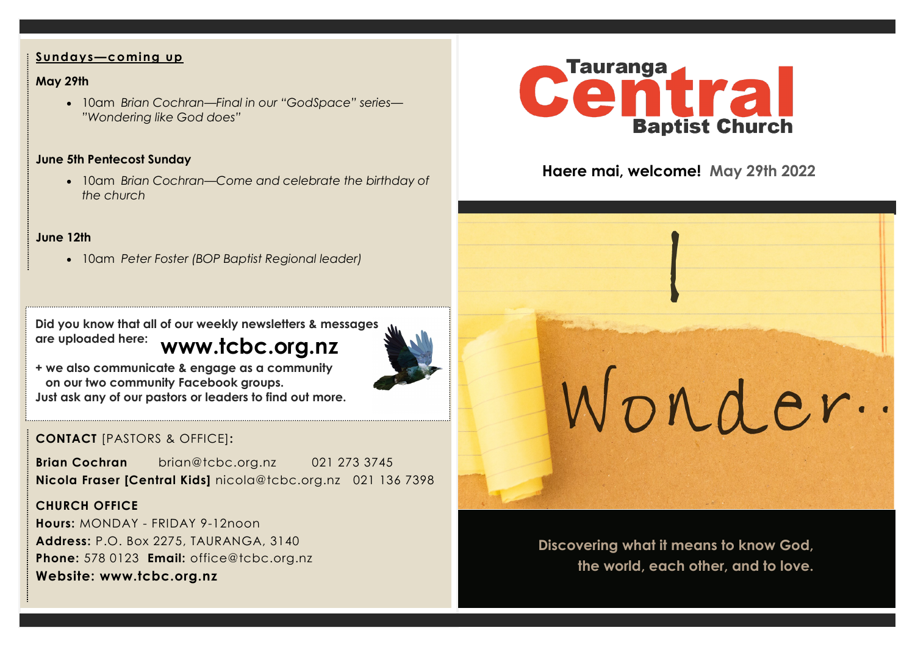#### **Sundays—coming up**

## **May 29th**

• 10am *Brian Cochran—Final in our "GodSpace" series— "Wondering like God does"*

## **June 5th Pentecost Sunday**

• 10am *Brian Cochran—Come and celebrate the birthday of the church*

## **June 12th**

• 10am *Peter Foster (BOP Baptist Regional leader)* 

**www.tcbc.org.nz Did you know that all of our weekly newsletters & messages are uploaded here:** 



**+ we also communicate & engage as a community on our two community Facebook groups. Just ask any of our pastors or leaders to find out more.**

# **CONTACT** [PASTORS & OFFICE]**:**

**Brian Cochran** brian@tcbc.org.nz 021 273 3745 **Nicola Fraser [Central Kids]** nicola@tcbc.org.nz021 136 7398

## **CHURCH OFFICE**

**Hours:** MONDAY - FRIDAY 9-12noon **Address:** P.O. Box 2275, TAURANGA, 3140 **Phone:** 578 0123 **Email:** office@tcbc.org.nz **Website: www.tcbc.org.nz**



# **Haere mai, welcome! May 29th 2022**

**Discovering what it means to know God, the world, each other, and to love.** 

Wonder.